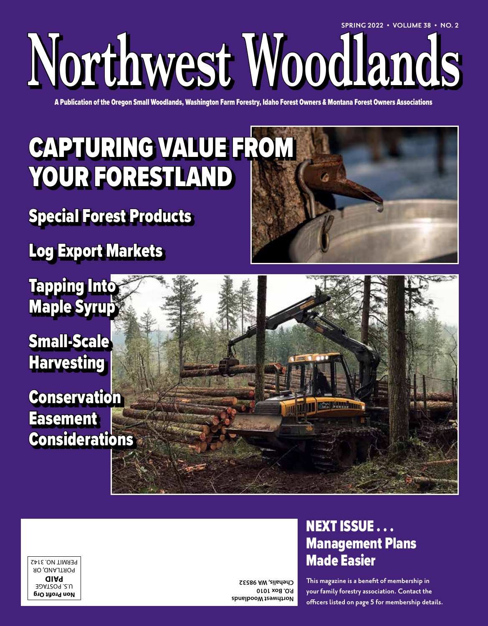# **Northwest Woodlands SPRING 2022 • VOLUME 38 • NO. 2**

A Publication of the Oregon Small Woodlands, Washington Farm Forestry, Idaho Forest Owners & Montana Forest Owners Associations

## CAPTURING VALUE FROM YOUR FORESTLAND

Special Forest Products

Log Export Markets

Tapping Into Maple Syrup

Small-Scale **Harvesting** 

**Conservation Easement Considerations** 



**Non Profit Org** U.S. POSTAGE **PAID** PORTLAND, OR PERMIT NO. 3142

**Northwest Woodlands P.O. Box 1010 Chehalis, WA 98532**

### NEXT ISSUE . . . Management Plans Made Easier

**This magazine is a benefit of membership in your family forestry association. Contact the officers listed on page 5 for membership details.**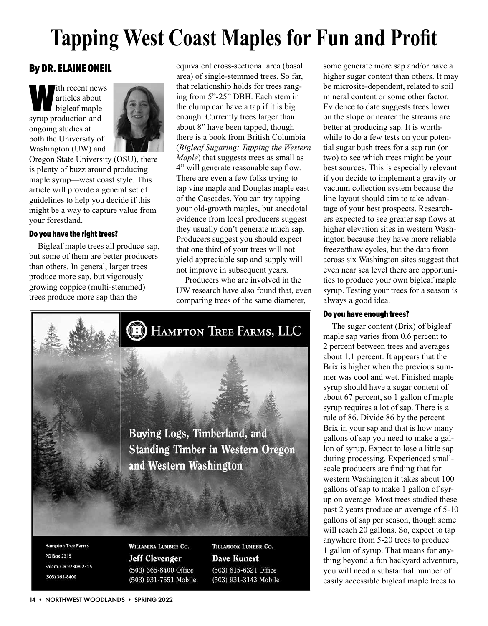## **Tapping West Coast Maples for Fun and Profit**

#### By DR. ELAINE ONEIL

Ith recent news<br>
articles about<br>
bigleaf maple<br>
syrup production and articles about bigleaf maple ongoing studies at both the University of Washington (UW) and



Oregon State University (OSU), there is plenty of buzz around producing maple syrup—west coast style. This article will provide a general set of guidelines to help you decide if this might be a way to capture value from your forestland.

#### Do you have the right trees?

Bigleaf maple trees all produce sap, but some of them are better producers than others. In general, larger trees produce more sap, but vigorously growing coppice (multi-stemmed) trees produce more sap than the

equivalent cross-sectional area (basal area) of single-stemmed trees. So far, that relationship holds for trees ranging from 5"-25" DBH. Each stem in the clump can have a tap if it is big enough. Currently trees larger than about 8" have been tapped, though there is a book from British Columbia (*Bigleaf Sugaring: Tapping the Western Maple*) that suggests trees as small as 4" will generate reasonable sap flow. There are even a few folks trying to tap vine maple and Douglas maple east of the Cascades. You can try tapping your old-growth maples, but anecdotal evidence from local producers suggest they usually don't generate much sap. Producers suggest you should expect that one third of your trees will not yield appreciable sap and supply will not improve in subsequent years.

Producers who are involved in the UW research have also found that, even comparing trees of the same diameter,



Salem, OR 97308-2315 (503) 365-8400

Jeff Clevenger (503) 365-8400 Office (503) 931-7651 Mobile **Dave Kunert** (503) 815-6321 Office (503) 931-3143 Mobile some generate more sap and/or have a higher sugar content than others. It may be microsite-dependent, related to soil mineral content or some other factor. Evidence to date suggests trees lower on the slope or nearer the streams are better at producing sap. It is worthwhile to do a few tests on your potential sugar bush trees for a sap run (or two) to see which trees might be your best sources. This is especially relevant if you decide to implement a gravity or vacuum collection system because the line layout should aim to take advantage of your best prospects. Researchers expected to see greater sap flows at higher elevation sites in western Washington because they have more reliable freeze/thaw cycles, but the data from across six Washington sites suggest that even near sea level there are opportunities to produce your own bigleaf maple syrup. Testing your trees for a season is always a good idea.

#### Do you have enough trees?

The sugar content (Brix) of bigleaf maple sap varies from 0.6 percent to 2 percent between trees and averages about 1.1 percent. It appears that the Brix is higher when the previous summer was cool and wet. Finished maple syrup should have a sugar content of about 67 percent, so 1 gallon of maple syrup requires a lot of sap. There is a rule of 86. Divide 86 by the percent Brix in your sap and that is how many gallons of sap you need to make a gallon of syrup. Expect to lose a little sap during processing. Experienced smallscale producers are finding that for western Washington it takes about 100 gallons of sap to make 1 gallon of syrup on average. Most trees studied these past 2 years produce an average of 5-10 gallons of sap per season, though some will reach 20 gallons. So, expect to tap anywhere from 5-20 trees to produce 1 gallon of syrup. That means for anything beyond a fun backyard adventure, you will need a substantial number of easily accessible bigleaf maple trees to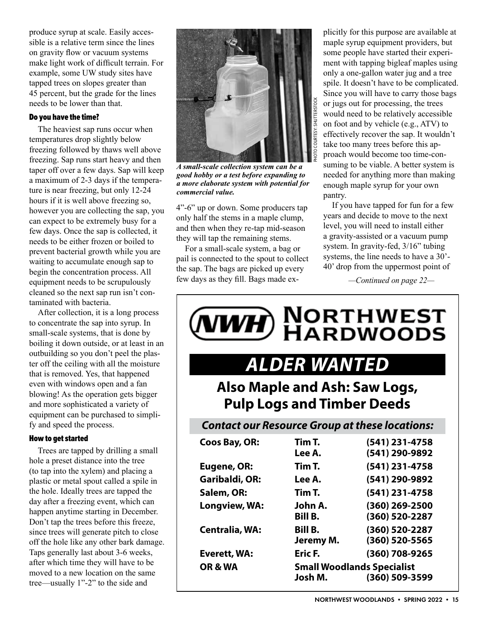produce syrup at scale. Easily accessible is a relative term since the lines on gravity flow or vacuum systems make light work of difficult terrain. For example, some UW study sites have tapped trees on slopes greater than 45 percent, but the grade for the lines needs to be lower than that.

#### Do you have the time?

The heaviest sap runs occur when temperatures drop slightly below freezing followed by thaws well above freezing. Sap runs start heavy and then taper off over a few days. Sap will keep a maximum of 2-3 days if the temperature is near freezing, but only 12-24 hours if it is well above freezing so, however you are collecting the sap, you can expect to be extremely busy for a few days. Once the sap is collected, it needs to be either frozen or boiled to prevent bacterial growth while you are waiting to accumulate enough sap to begin the concentration process. All equipment needs to be scrupulously cleaned so the next sap run isn't contaminated with bacteria.

After collection, it is a long process to concentrate the sap into syrup. In small-scale systems, that is done by boiling it down outside, or at least in an outbuilding so you don't peel the plaster off the ceiling with all the moisture that is removed. Yes, that happened even with windows open and a fan blowing! As the operation gets bigger and more sophisticated a variety of equipment can be purchased to simplify and speed the process.

#### How to get started

Trees are tapped by drilling a small hole a preset distance into the tree (to tap into the xylem) and placing a plastic or metal spout called a spile in the hole. Ideally trees are tapped the day after a freezing event, which can happen anytime starting in December. Don't tap the trees before this freeze, since trees will generate pitch to close off the hole like any other bark damage. Taps generally last about 3-6 weeks, after which time they will have to be moved to a new location on the same tree—usually 1"-2" to the side and



*A small-scale collection system can be a good hobby or a test before expanding to a more elaborate system with potential for commercial value.*

4"-6" up or down. Some producers tap only half the stems in a maple clump, and then when they re-tap mid-season they will tap the remaining stems.

For a small-scale system, a bag or pail is connected to the spout to collect the sap. The bags are picked up every few days as they fill. Bags made explicitly for this purpose are available at maple syrup equipment providers, but some people have started their experiment with tapping bigleaf maples using only a one-gallon water jug and a tree spile. It doesn't have to be complicated. Since you will have to carry those bags or jugs out for processing, the trees would need to be relatively accessible on foot and by vehicle (e.g., ATV) to effectively recover the sap. It wouldn't take too many trees before this approach would become too time-consuming to be viable. A better system is needed for anything more than making enough maple syrup for your own pantry.

If you have tapped for fun for a few years and decide to move to the next level, you will need to install either a gravity-assisted or a vacuum pump system. In gravity-fed, 3/16" tubing systems, the line needs to have a 30'- 40' drop from the uppermost point of

*—Continued on page 22—*

| <b>WH) NORTHWEST</b><br>MARDWOODS<br><b>ALDER WANTED</b><br><b>Also Maple and Ash: Saw Logs,</b><br><b>Pulp Logs and Timber Deeds</b> |                                                                |                                  |                                                       |                  |                                  |
|---------------------------------------------------------------------------------------------------------------------------------------|----------------------------------------------------------------|----------------------------------|-------------------------------------------------------|------------------|----------------------------------|
|                                                                                                                                       |                                                                |                                  | <b>Contact our Resource Group at these locations:</b> |                  |                                  |
|                                                                                                                                       |                                                                |                                  | <b>Coos Bay, OR:</b>                                  | Tim T.<br>Lee A. | (541) 231-4758<br>(541) 290-9892 |
| Eugene, OR:                                                                                                                           | Tim T.                                                         | (541) 231-4758                   |                                                       |                  |                                  |
| Garibaldi, OR:                                                                                                                        | Lee A.                                                         | (541) 290-9892                   |                                                       |                  |                                  |
| Salem, OR:                                                                                                                            | Tim T.                                                         | (541) 231-4758                   |                                                       |                  |                                  |
| Longview, WA:                                                                                                                         | John A.<br><b>Bill B.</b>                                      | (360) 269-2500<br>(360) 520-2287 |                                                       |                  |                                  |
| <b>Centralia, WA:</b>                                                                                                                 | <b>Bill B.</b><br>Jeremy M.                                    | (360) 520-2287<br>(360) 520-5565 |                                                       |                  |                                  |
| Everett, WA:                                                                                                                          | Eric F.                                                        | (360) 708-9265                   |                                                       |                  |                                  |
| OR & WA                                                                                                                               | <b>Small Woodlands Specialist</b><br>Josh M.<br>(360) 509-3599 |                                  |                                                       |                  |                                  |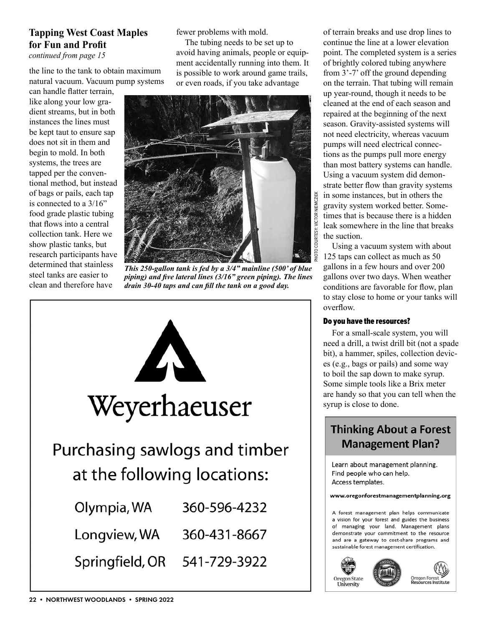#### **Tapping West Coast Maples for Fun and Profit**

*continued from page 15*

the line to the tank to obtain maximum natural vacuum. Vacuum pump systems

can handle flatter terrain, like along your low gradient streams, but in both instances the lines must be kept taut to ensure sap does not sit in them and begin to mold. In both systems, the trees are tapped per the conventional method, but instead of bags or pails, each tap is connected to a 3/16" food grade plastic tubing that flows into a central collection tank. Here we show plastic tanks, but research participants have determined that stainless steel tanks are easier to clean and therefore have

fewer problems with mold.

The tubing needs to be set up to avoid having animals, people or equipment accidentally running into them. It is possible to work around game trails, or even roads, if you take advantage



*This 250-gallon tank is fed by a 3/4" mainline (500' of blue piping) and five lateral lines (3/16" green piping). The lines drain 30-40 taps and can fill the tank on a good day.*



of terrain breaks and use drop lines to continue the line at a lower elevation point. The completed system is a series of brightly colored tubing anywhere from 3'-7' off the ground depending on the terrain. That tubing will remain up year-round, though it needs to be cleaned at the end of each season and repaired at the beginning of the next season. Gravity-assisted systems will not need electricity, whereas vacuum pumps will need electrical connections as the pumps pull more energy than most battery systems can handle. Using a vacuum system did demonstrate better flow than gravity systems in some instances, but in others the gravity system worked better. Sometimes that is because there is a hidden leak somewhere in the line that breaks the suction.

Using a vacuum system with about 125 taps can collect as much as 50 gallons in a few hours and over 200 gallons over two days. When weather conditions are favorable for flow, plan to stay close to home or your tanks will overflow.

#### Do you have the resources?

For a small-scale system, you will need a drill, a twist drill bit (not a spade bit), a hammer, spiles, collection devices (e.g., bags or pails) and some way to boil the sap down to make syrup. Some simple tools like a Brix meter are handy so that you can tell when the syrup is close to done.

### **Thinking About a Forest Management Plan?**

Learn about management planning. Find people who can help. Access templates.

#### www.oregonforestmanagementplanning.org

A forest management plan helps communicate a vision for your forest and guides the business of managing your land. Management plans demonstrate your commitment to the resource and are a gateway to cost-share programs and sustainable forest management certification.